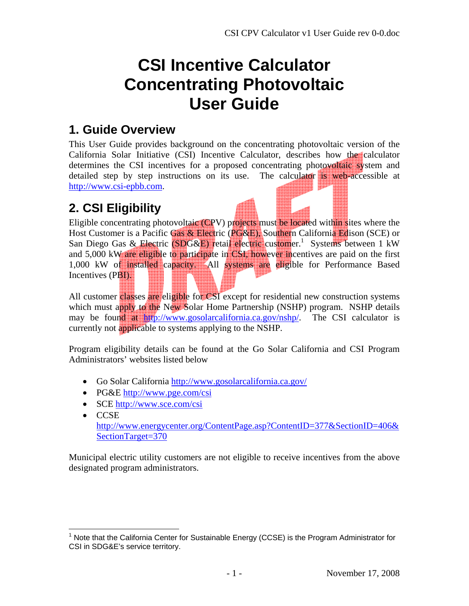# **CSI Incentive Calculator Concentrating Photovoltaic User Guide**

#### **1. Guide Overview**

This User Guide provides background on the concentrating photovoltaic version of the California Solar Initiative (CSI) Incentive Calculator, describes how the calculator determines the CSI incentives for a proposed concentrating photovoltaic system and detailed step by step instructions on its use. The calculator is web-accessible at http://www.csi-epbb.com.

### **2. CSI Eligibility**

Eligible concentrating photovoltaic (CPV) projects must be located within sites where the Host Customer is a Pacific Gas & Electric (PG&E), Southern California Edison (SCE) or San Diego Gas & Electric (SDG&E) retail electric customer.<sup>1</sup> Systems between 1 kW and 5,000 kW are eligible to participate in CSI, however incentives are paid on the first 1,000 kW of installed capacity. All systems are eligible for Performance Based Incentives (PBI).

All customer classes are eligible for CSI except for residential new construction systems which must apply to the New Solar Home Partnership (NSHP) program. NSHP details may be found at http://www.gosolarcalifornia.ca.gov/nshp/. The CSI calculator is currently not applicable to systems applying to the NSHP.

Program eligibility details can be found at the Go Solar California and CSI Program Administrators' websites listed below

- Go Solar California http://www.gosolarcalifornia.ca.gov/
- PG&E http://www.pge.com/csi
- SCE http://www.sce.com/csi

 $\overline{a}$ 

• CCSE http://www.energycenter.org/ContentPage.asp?ContentID=377&SectionID=406& SectionTarget=370

Municipal electric utility customers are not eligible to receive incentives from the above designated program administrators.

<sup>1</sup> Note that the California Center for Sustainable Energy (CCSE) is the Program Administrator for CSI in SDG&E's service territory.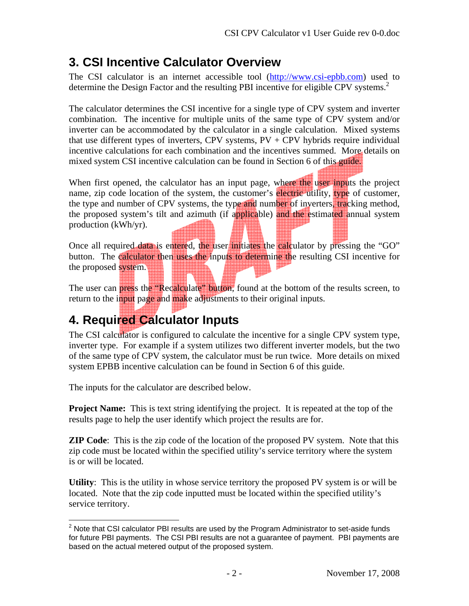### **3. CSI Incentive Calculator Overview**

The CSI calculator is an internet accessible tool (http://www.csi-epbb.com) used to determine the Design Factor and the resulting PBI incentive for eligible CPV systems.<sup>2</sup>

The calculator determines the CSI incentive for a single type of CPV system and inverter combination. The incentive for multiple units of the same type of CPV system and/or inverter can be accommodated by the calculator in a single calculation. Mixed systems that use different types of inverters, CPV systems,  $PV + CPV$  hybrids require individual incentive calculations for each combination and the incentives summed. More details on mixed system CSI incentive calculation can be found in Section 6 of this guide.

When first opened, the calculator has an input page, where the user inputs the project name, zip code location of the system, the customer's electric utility, type of customer, the type and number of CPV systems, the type and number of inverters, tracking method, the proposed system's tilt and azimuth (if applicable) and the estimated annual system production (kWh/yr).

Once all required data is entered, the user initiates the calculator by pressing the "GO" button. The calculator then uses the inputs to determine the resulting CSI incentive for the proposed system.

The user can press the "Recalculate" button, found at the bottom of the results screen, to return to the input page and make adjustments to their original inputs.

# **4. Required Calculator Inputs**

The CSI calculator is configured to calculate the incentive for a single CPV system type, inverter type. For example if a system utilizes two different inverter models, but the two of the same type of CPV system, the calculator must be run twice. More details on mixed system EPBB incentive calculation can be found in Section 6 of this guide.

The inputs for the calculator are described below.

**Project Name:** This is text string identifying the project. It is repeated at the top of the results page to help the user identify which project the results are for.

**ZIP Code**: This is the zip code of the location of the proposed PV system. Note that this zip code must be located within the specified utility's service territory where the system is or will be located.

**Utility**: This is the utility in whose service territory the proposed PV system is or will be located. Note that the zip code inputted must be located within the specified utility's service territory.

 $\overline{a}$  $2$  Note that CSI calculator PBI results are used by the Program Administrator to set-aside funds for future PBI payments. The CSI PBI results are not a guarantee of payment. PBI payments are based on the actual metered output of the proposed system.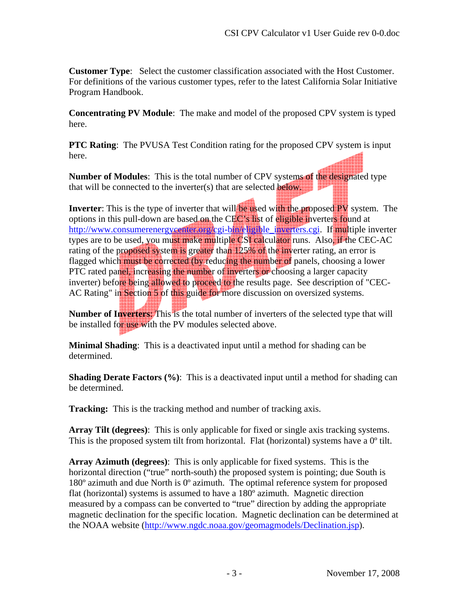**Customer Type**: Select the customer classification associated with the Host Customer. For definitions of the various customer types, refer to the latest California Solar Initiative Program Handbook.

**Concentrating PV Module**: The make and model of the proposed CPV system is typed here.

**PTC Rating**: The PVUSA Test Condition rating for the proposed CPV system is input here.

**Number of Modules:** This is the total number of CPV systems of the designated type that will be connected to the inverter(s) that are selected **below.** 

**Inverter**: This is the type of inverter that will be used with the proposed PV system. The options in this pull-down are based on the CEC's list of eligible inverters found at http://www.consumerenergycenter.org/cgi-bin/eligible inverters.cgi. If multiple inverter types are to be used, you must make multiple CSI calculator runs. Also, if the CEC-AC rating of the proposed system is greater than 125% of the inverter rating, an error is flagged which must be corrected (by reducing the number of panels, choosing a lower PTC rated panel, increasing the number of inverters or choosing a larger capacity inverter) before being allowed to proceed to the results page. See description of "CEC-AC Rating" in Section 5 of this guide for more discussion on oversized systems.

**Number of Inverters**: This is the total number of inverters of the selected type that will be installed for use with the PV modules selected above.

**Minimal Shading**: This is a deactivated input until a method for shading can be determined.

**Shading Derate Factors (%)**: This is a deactivated input until a method for shading can be determined.

**Tracking:** This is the tracking method and number of tracking axis.

**Array Tilt (degrees)**: This is only applicable for fixed or single axis tracking systems. This is the proposed system tilt from horizontal. Flat (horizontal) systems have a  $0^{\circ}$  tilt.

**Array Azimuth (degrees)**: This is only applicable for fixed systems. This is the horizontal direction ("true" north-south) the proposed system is pointing; due South is 180º azimuth and due North is 0º azimuth. The optimal reference system for proposed flat (horizontal) systems is assumed to have a 180º azimuth. Magnetic direction measured by a compass can be converted to "true" direction by adding the appropriate magnetic declination for the specific location. Magnetic declination can be determined at the NOAA website (http://www.ngdc.noaa.gov/geomagmodels/Declination.jsp).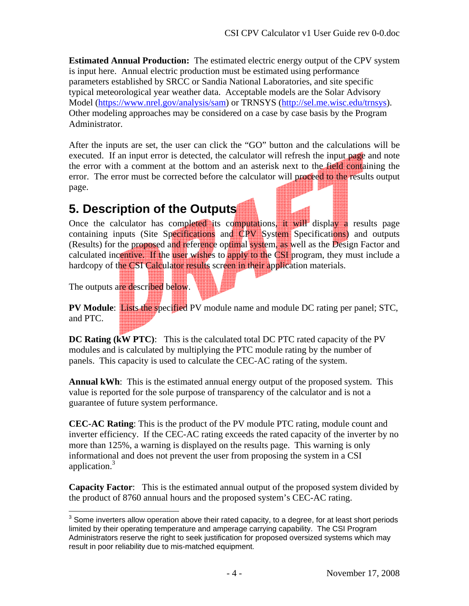**Estimated Annual Production:** The estimated electric energy output of the CPV system is input here. Annual electric production must be estimated using performance parameters established by SRCC or Sandia National Laboratories, and site specific typical meteorological year weather data. Acceptable models are the Solar Advisory Model (https://www.nrel.gov/analysis/sam) or TRNSYS (http://sel.me.wisc.edu/trnsys). Other modeling approaches may be considered on a case by case basis by the Program Administrator.

After the inputs are set, the user can click the "GO" button and the calculations will be executed. If an input error is detected, the calculator will refresh the input page and note the error with a comment at the bottom and an asterisk next to the field containing the error. The error must be corrected before the calculator will proceed to the results output page.

### **5. Description of the Outputs**

Once the calculator has completed its computations, it will display a results page containing inputs (Site Specifications and CPV System Specifications) and outputs (Results) for the proposed and reference optimal system, as well as the Design Factor and calculated incentive. If the user wishes to apply to the CSI program, they must include a hardcopy of the CSI Calculator results screen in their application materials.

The outputs are described below.

**PV Module**: Lists the specified PV module name and module DC rating per panel; STC, and PTC.

**DC Rating (kW PTC)**: This is the calculated total DC PTC rated capacity of the PV modules and is calculated by multiplying the PTC module rating by the number of panels. This capacity is used to calculate the CEC-AC rating of the system.

**Annual kWh**: This is the estimated annual energy output of the proposed system. This value is reported for the sole purpose of transparency of the calculator and is not a guarantee of future system performance.

**CEC-AC Rating**: This is the product of the PV module PTC rating, module count and inverter efficiency. If the CEC-AC rating exceeds the rated capacity of the inverter by no more than 125%, a warning is displayed on the results page. This warning is only informational and does not prevent the user from proposing the system in a CSI application.<sup>3</sup>

**Capacity Factor**: This is the estimated annual output of the proposed system divided by the product of 8760 annual hours and the proposed system's CEC-AC rating.

 3 Some inverters allow operation above their rated capacity, to a degree, for at least short periods limited by their operating temperature and amperage carrying capability. The CSI Program Administrators reserve the right to seek justification for proposed oversized systems which may result in poor reliability due to mis-matched equipment.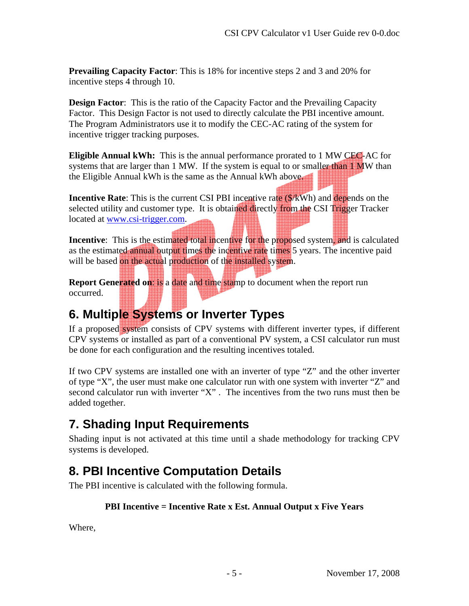**Prevailing Capacity Factor**: This is 18% for incentive steps 2 and 3 and 20% for incentive steps 4 through 10.

**Design Factor:** This is the ratio of the Capacity Factor and the Prevailing Capacity Factor. This Design Factor is not used to directly calculate the PBI incentive amount. The Program Administrators use it to modify the CEC-AC rating of the system for incentive trigger tracking purposes.

**Eligible Annual kWh:** This is the annual performance prorated to 1 MW CEC-AC for systems that are larger than 1 MW. If the system is equal to or smaller than 1 MW than the Eligible Annual kWh is the same as the Annual kWh above.

**Incentive Rate:** This is the current CSI PBI incentive rate ( $\frac{\sqrt{K}}{W}$ h) and depends on the selected utility and customer type. It is obtained directly from the CSI Trigger Tracker located at www.csi-trigger.com.

**Incentive:** This is the estimated total incentive for the proposed system, and is calculated as the estimated annual output times the incentive rate times 5 years. The incentive paid will be based on the actual production of the installed system.

**Report Generated on: is a date and time stamp to document when the report run** occurred.

### **6. Multiple Systems or Inverter Types**

If a proposed system consists of CPV systems with different inverter types, if different CPV systems or installed as part of a conventional PV system, a CSI calculator run must be done for each configuration and the resulting incentives totaled.

If two CPV systems are installed one with an inverter of type "Z" and the other inverter of type "X", the user must make one calculator run with one system with inverter "Z" and second calculator run with inverter "X" . The incentives from the two runs must then be added together.

# **7. Shading Input Requirements**

Shading input is not activated at this time until a shade methodology for tracking CPV systems is developed.

# **8. PBI Incentive Computation Details**

The PBI incentive is calculated with the following formula.

#### **PBI Incentive = Incentive Rate x Est. Annual Output x Five Years**

Where,